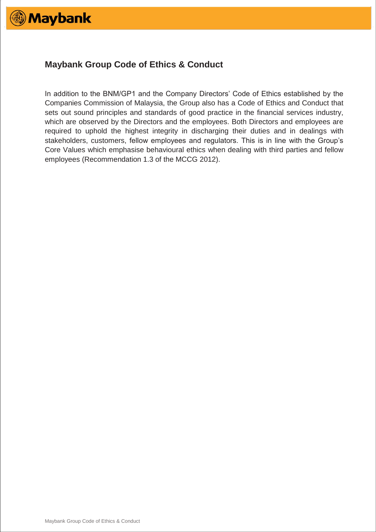

# **Maybank Group Code of Ethics & Conduct**

In addition to the BNM/GP1 and the Company Directors' Code of Ethics established by the Companies Commission of Malaysia, the Group also has a Code of Ethics and Conduct that sets out sound principles and standards of good practice in the financial services industry, which are observed by the Directors and the employees. Both Directors and employees are required to uphold the highest integrity in discharging their duties and in dealings with stakeholders, customers, fellow employees and regulators. This is in line with the Group's Core Values which emphasise behavioural ethics when dealing with third parties and fellow employees (Recommendation 1.3 of the MCCG 2012).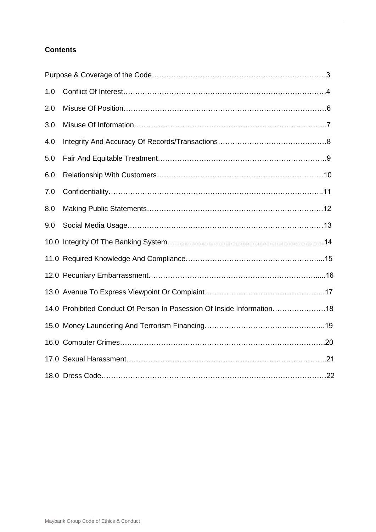# **Contents**

| 1.0 |                                                                        |  |
|-----|------------------------------------------------------------------------|--|
| 2.0 |                                                                        |  |
| 3.0 |                                                                        |  |
| 4.0 |                                                                        |  |
| 5.0 |                                                                        |  |
| 6.0 |                                                                        |  |
| 7.0 |                                                                        |  |
| 8.0 |                                                                        |  |
| 9.0 |                                                                        |  |
|     |                                                                        |  |
|     |                                                                        |  |
|     |                                                                        |  |
|     |                                                                        |  |
|     | 14.0 Prohibited Conduct Of Person In Posession Of Inside Information18 |  |
|     |                                                                        |  |
|     |                                                                        |  |
|     |                                                                        |  |
|     |                                                                        |  |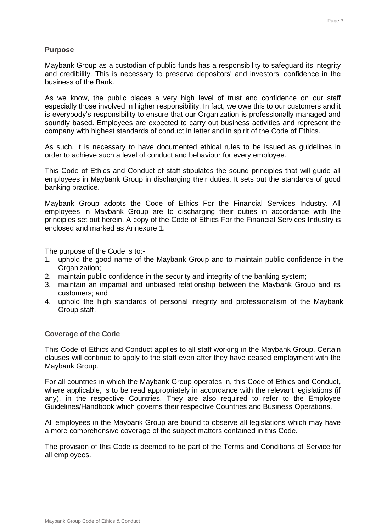#### **Purpose**

Maybank Group as a custodian of public funds has a responsibility to safeguard its integrity and credibility. This is necessary to preserve depositors' and investors' confidence in the business of the Bank.

As we know, the public places a very high level of trust and confidence on our staff especially those involved in higher responsibility. In fact, we owe this to our customers and it is everybody's responsibility to ensure that our Organization is professionally managed and soundly based. Employees are expected to carry out business activities and represent the company with highest standards of conduct in letter and in spirit of the Code of Ethics.

As such, it is necessary to have documented ethical rules to be issued as guidelines in order to achieve such a level of conduct and behaviour for every employee.

This Code of Ethics and Conduct of staff stipulates the sound principles that will guide all employees in Maybank Group in discharging their duties. It sets out the standards of good banking practice.

Maybank Group adopts the Code of Ethics For the Financial Services Industry. All employees in Maybank Group are to discharging their duties in accordance with the principles set out herein. A copy of the Code of Ethics For the Financial Services Industry is enclosed and marked as Annexure 1.

The purpose of the Code is to:-

- 1. uphold the good name of the Maybank Group and to maintain public confidence in the Organization:
- 2. maintain public confidence in the security and integrity of the banking system;
- 3. maintain an impartial and unbiased relationship between the Maybank Group and its customers; and
- 4. uphold the high standards of personal integrity and professionalism of the Maybank Group staff.

#### **Coverage of the Code**

This Code of Ethics and Conduct applies to all staff working in the Maybank Group. Certain clauses will continue to apply to the staff even after they have ceased employment with the Maybank Group.

For all countries in which the Maybank Group operates in, this Code of Ethics and Conduct, where applicable, is to be read appropriately in accordance with the relevant legislations (if any), in the respective Countries. They are also required to refer to the Employee Guidelines/Handbook which governs their respective Countries and Business Operations.

All employees in the Maybank Group are bound to observe all legislations which may have a more comprehensive coverage of the subject matters contained in this Code.

The provision of this Code is deemed to be part of the Terms and Conditions of Service for all employees.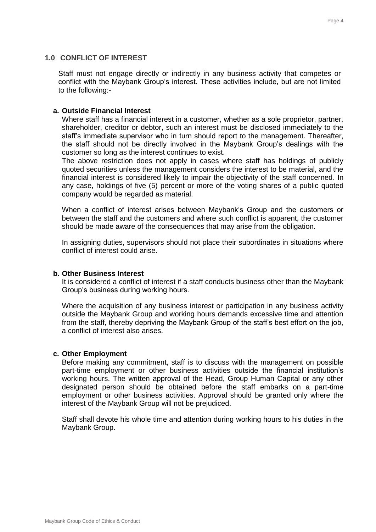## **1.0 CONFLICT OF INTEREST**

Staff must not engage directly or indirectly in any business activity that competes or conflict with the Maybank Group's interest. These activities include, but are not limited to the following:-

# **a. Outside Financial Interest**

Where staff has a financial interest in a customer, whether as a sole proprietor, partner, shareholder, creditor or debtor, such an interest must be disclosed immediately to the staff's immediate supervisor who in turn should report to the management. Thereafter, the staff should not be directly involved in the Maybank Group's dealings with the customer so long as the interest continues to exist.

The above restriction does not apply in cases where staff has holdings of publicly quoted securities unless the management considers the interest to be material, and the financial interest is considered likely to impair the objectivity of the staff concerned. In any case, holdings of five (5) percent or more of the voting shares of a public quoted company would be regarded as material.

When a conflict of interest arises between Maybank's Group and the customers or between the staff and the customers and where such conflict is apparent, the customer should be made aware of the consequences that may arise from the obligation.

In assigning duties, supervisors should not place their subordinates in situations where conflict of interest could arise.

## **b. Other Business Interest**

It is considered a conflict of interest if a staff conducts business other than the Maybank Group's business during working hours.

Where the acquisition of any business interest or participation in any business activity outside the Maybank Group and working hours demands excessive time and attention from the staff, thereby depriving the Maybank Group of the staff's best effort on the job, a conflict of interest also arises.

## **c. Other Employment**

Before making any commitment, staff is to discuss with the management on possible part-time employment or other business activities outside the financial institution's working hours. The written approval of the Head, Group Human Capital or any other designated person should be obtained before the staff embarks on a part-time employment or other business activities. Approval should be granted only where the interest of the Maybank Group will not be prejudiced.

Staff shall devote his whole time and attention during working hours to his duties in the Maybank Group.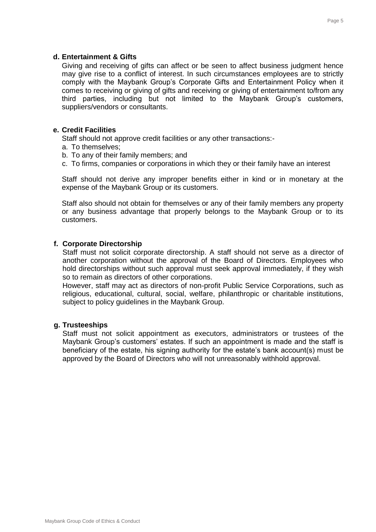# **d. Entertainment & Gifts**

Giving and receiving of gifts can affect or be seen to affect business judgment hence may give rise to a conflict of interest. In such circumstances employees are to strictly comply with the Maybank Group's Corporate Gifts and Entertainment Policy when it comes to receiving or giving of gifts and receiving or giving of entertainment to/from any third parties, including but not limited to the Maybank Group's customers, suppliers/vendors or consultants.

# **e. Credit Facilities**

Staff should not approve credit facilities or any other transactions:-

- a. To themselves;
- b. To any of their family members; and
- c. To firms, companies or corporations in which they or their family have an interest

Staff should not derive any improper benefits either in kind or in monetary at the expense of the Maybank Group or its customers.

Staff also should not obtain for themselves or any of their family members any property or any business advantage that properly belongs to the Maybank Group or to its customers.

# **f. Corporate Directorship**

Staff must not solicit corporate directorship. A staff should not serve as a director of another corporation without the approval of the Board of Directors. Employees who hold directorships without such approval must seek approval immediately, if they wish so to remain as directors of other corporations.

However, staff may act as directors of non-profit Public Service Corporations, such as religious, educational, cultural, social, welfare, philanthropic or charitable institutions, subject to policy guidelines in the Maybank Group.

# **g. Trusteeships**

Staff must not solicit appointment as executors, administrators or trustees of the Maybank Group's customers' estates. If such an appointment is made and the staff is beneficiary of the estate, his signing authority for the estate's bank account(s) must be approved by the Board of Directors who will not unreasonably withhold approval.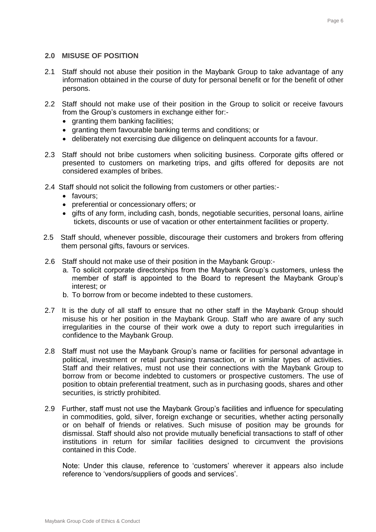## **2.0 MISUSE OF POSITION**

- 2.1 Staff should not abuse their position in the Maybank Group to take advantage of any information obtained in the course of duty for personal benefit or for the benefit of other persons.
- 2.2 Staff should not make use of their position in the Group to solicit or receive favours from the Group's customers in exchange either for:-
	- granting them banking facilities;
	- granting them favourable banking terms and conditions; or
	- deliberately not exercising due diligence on delinquent accounts for a favour.
- 2.3 Staff should not bribe customers when soliciting business. Corporate gifts offered or presented to customers on marketing trips, and gifts offered for deposits are not considered examples of bribes.
- 2.4 Staff should not solicit the following from customers or other parties:-
	- favours:
	- preferential or concessionary offers; or
	- gifts of any form, including cash, bonds, negotiable securities, personal loans, airline tickets, discounts or use of vacation or other entertainment facilities or property.
- 2.5 Staff should, whenever possible, discourage their customers and brokers from offering them personal gifts, favours or services.
- 2.6 Staff should not make use of their position in the Maybank Group:
	- a. To solicit corporate directorships from the Maybank Group's customers, unless the member of staff is appointed to the Board to represent the Maybank Group's interest; or
	- b. To borrow from or become indebted to these customers.
- 2.7 It is the duty of all staff to ensure that no other staff in the Maybank Group should misuse his or her position in the Maybank Group. Staff who are aware of any such irregularities in the course of their work owe a duty to report such irregularities in confidence to the Maybank Group.
- 2.8 Staff must not use the Maybank Group's name or facilities for personal advantage in political, investment or retail purchasing transaction, or in similar types of activities. Staff and their relatives, must not use their connections with the Maybank Group to borrow from or become indebted to customers or prospective customers. The use of position to obtain preferential treatment, such as in purchasing goods, shares and other securities, is strictly prohibited.
- 2.9 Further, staff must not use the Maybank Group's facilities and influence for speculating in commodities, gold, silver, foreign exchange or securities, whether acting personally or on behalf of friends or relatives. Such misuse of position may be grounds for dismissal. Staff should also not provide mutually beneficial transactions to staff of other institutions in return for similar facilities designed to circumvent the provisions contained in this Code.

Note: Under this clause, reference to 'customers' wherever it appears also include reference to 'vendors/suppliers of goods and services'.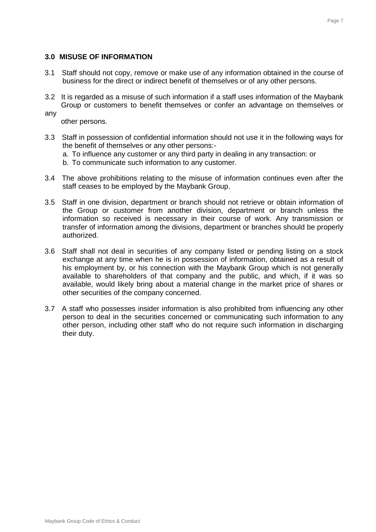## **3.0 MISUSE OF INFORMATION**

- 3.1 Staff should not copy, remove or make use of any information obtained in the course of business for the direct or indirect benefit of themselves or of any other persons.
- 3.2 It is regarded as a misuse of such information if a staff uses information of the Maybank Group or customers to benefit themselves or confer an advantage on themselves or
- any

other persons.

- 3.3 Staff in possession of confidential information should not use it in the following ways for the benefit of themselves or any other persons:
	- a. To influence any customer or any third party in dealing in any transaction: or

b. To communicate such information to any customer.

- 3.4 The above prohibitions relating to the misuse of information continues even after the staff ceases to be employed by the Maybank Group.
- 3.5 Staff in one division, department or branch should not retrieve or obtain information of the Group or customer from another division, department or branch unless the information so received is necessary in their course of work. Any transmission or transfer of information among the divisions, department or branches should be properly authorized.
- 3.6 Staff shall not deal in securities of any company listed or pending listing on a stock exchange at any time when he is in possession of information, obtained as a result of his employment by, or his connection with the Maybank Group which is not generally available to shareholders of that company and the public, and which, if it was so available, would likely bring about a material change in the market price of shares or other securities of the company concerned.
- 3.7 A staff who possesses insider information is also prohibited from influencing any other person to deal in the securities concerned or communicating such information to any other person, including other staff who do not require such information in discharging their duty.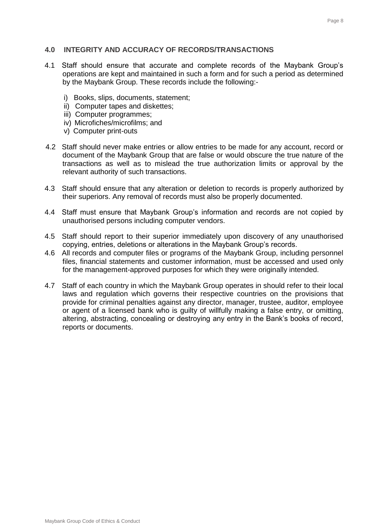#### **4.0 INTEGRITY AND ACCURACY OF RECORDS/TRANSACTIONS**

- 4.1 Staff should ensure that accurate and complete records of the Maybank Group's operations are kept and maintained in such a form and for such a period as determined by the Maybank Group. These records include the following:
	- i) Books, slips, documents, statement;
	- ii) Computer tapes and diskettes;
	- iii) Computer programmes;
	- iv) Microfiches/microfilms; and
	- v) Computer print-outs
- 4.2 Staff should never make entries or allow entries to be made for any account, record or document of the Maybank Group that are false or would obscure the true nature of the transactions as well as to mislead the true authorization limits or approval by the relevant authority of such transactions.
- 4.3 Staff should ensure that any alteration or deletion to records is properly authorized by their superiors. Any removal of records must also be properly documented.
- 4.4 Staff must ensure that Maybank Group's information and records are not copied by unauthorised persons including computer vendors.
- 4.5 Staff should report to their superior immediately upon discovery of any unauthorised copying, entries, deletions or alterations in the Maybank Group's records.
- 4.6 All records and computer files or programs of the Maybank Group, including personnel files, financial statements and customer information, must be accessed and used only for the management-approved purposes for which they were originally intended.
- 4.7 Staff of each country in which the Maybank Group operates in should refer to their local laws and regulation which governs their respective countries on the provisions that provide for criminal penalties against any director, manager, trustee, auditor, employee or agent of a licensed bank who is guilty of willfully making a false entry, or omitting, altering, abstracting, concealing or destroying any entry in the Bank's books of record, reports or documents.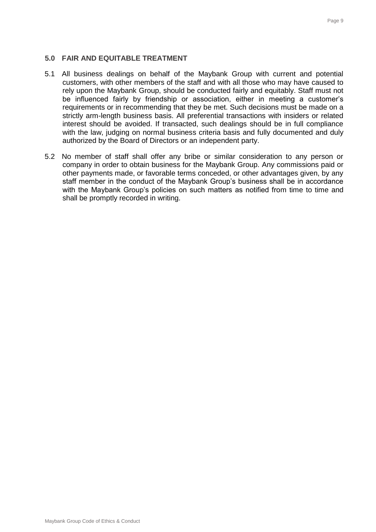# **5.0 FAIR AND EQUITABLE TREATMENT**

- 5.1 All business dealings on behalf of the Maybank Group with current and potential customers, with other members of the staff and with all those who may have caused to rely upon the Maybank Group, should be conducted fairly and equitably. Staff must not be influenced fairly by friendship or association, either in meeting a customer's requirements or in recommending that they be met. Such decisions must be made on a strictly arm-length business basis. All preferential transactions with insiders or related interest should be avoided. If transacted, such dealings should be in full compliance with the law, judging on normal business criteria basis and fully documented and duly authorized by the Board of Directors or an independent party.
- 5.2 No member of staff shall offer any bribe or similar consideration to any person or company in order to obtain business for the Maybank Group. Any commissions paid or other payments made, or favorable terms conceded, or other advantages given, by any staff member in the conduct of the Maybank Group's business shall be in accordance with the Maybank Group's policies on such matters as notified from time to time and shall be promptly recorded in writing.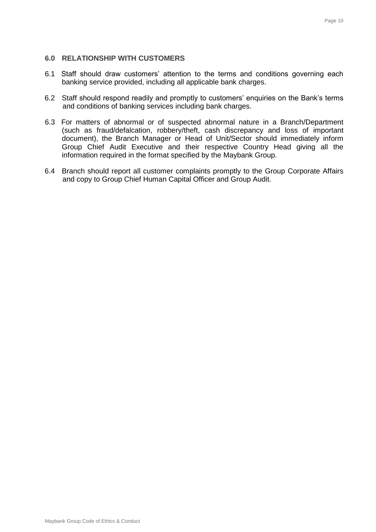# **6.0 RELATIONSHIP WITH CUSTOMERS**

- 6.1 Staff should draw customers' attention to the terms and conditions governing each banking service provided, including all applicable bank charges.
- 6.2 Staff should respond readily and promptly to customers' enquiries on the Bank's terms and conditions of banking services including bank charges.
- 6.3 For matters of abnormal or of suspected abnormal nature in a Branch/Department (such as fraud/defalcation, robbery/theft, cash discrepancy and loss of important document), the Branch Manager or Head of Unit/Sector should immediately inform Group Chief Audit Executive and their respective Country Head giving all the information required in the format specified by the Maybank Group.
- 6.4 Branch should report all customer complaints promptly to the Group Corporate Affairs and copy to Group Chief Human Capital Officer and Group Audit.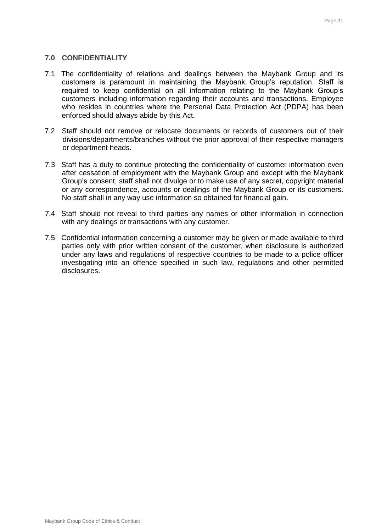#### **7.0 CONFIDENTIALITY**

- 7.1 The confidentiality of relations and dealings between the Maybank Group and its customers is paramount in maintaining the Maybank Group's reputation. Staff is required to keep confidential on all information relating to the Maybank Group's customers including information regarding their accounts and transactions. Employee who resides in countries where the Personal Data Protection Act (PDPA) has been enforced should always abide by this Act.
- 7.2 Staff should not remove or relocate documents or records of customers out of their divisions/departments/branches without the prior approval of their respective managers or department heads.
- 7.3 Staff has a duty to continue protecting the confidentiality of customer information even after cessation of employment with the Maybank Group and except with the Maybank Group's consent, staff shall not divulge or to make use of any secret, copyright material or any correspondence, accounts or dealings of the Maybank Group or its customers. No staff shall in any way use information so obtained for financial gain.
- 7.4 Staff should not reveal to third parties any names or other information in connection with any dealings or transactions with any customer.
- 7.5 Confidential information concerning a customer may be given or made available to third parties only with prior written consent of the customer, when disclosure is authorized under any laws and regulations of respective countries to be made to a police officer investigating into an offence specified in such law, regulations and other permitted disclosures.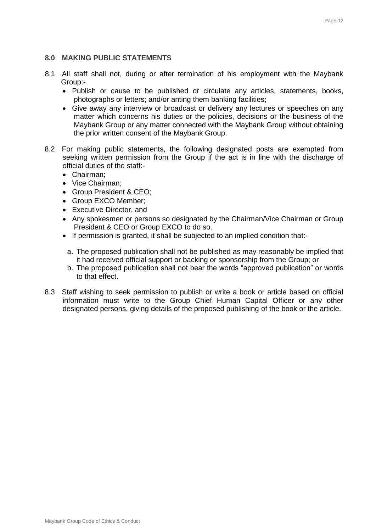# **8.0 MAKING PUBLIC STATEMENTS**

- 8.1 All staff shall not, during or after termination of his employment with the Maybank Group:-
	- Publish or cause to be published or circulate any articles, statements, books, photographs or letters; and/or anting them banking facilities;
	- Give away any interview or broadcast or delivery any lectures or speeches on any matter which concerns his duties or the policies, decisions or the business of the Maybank Group or any matter connected with the Maybank Group without obtaining the prior written consent of the Maybank Group.
- 8.2 For making public statements, the following designated posts are exempted from seeking written permission from the Group if the act is in line with the discharge of official duties of the staff:-
	- Chairman:
	- Vice Chairman;
	- Group President & CEO;
	- Group EXCO Member;
	- Executive Director, and
	- Any spokesmen or persons so designated by the Chairman/Vice Chairman or Group President & CEO or Group EXCO to do so.
	- If permission is granted, it shall be subjected to an implied condition that:
		- a. The proposed publication shall not be published as may reasonably be implied that it had received official support or backing or sponsorship from the Group; or
	- b. The proposed publication shall not bear the words "approved publication" or words to that effect.
- 8.3 Staff wishing to seek permission to publish or write a book or article based on official information must write to the Group Chief Human Capital Officer or any other designated persons, giving details of the proposed publishing of the book or the article.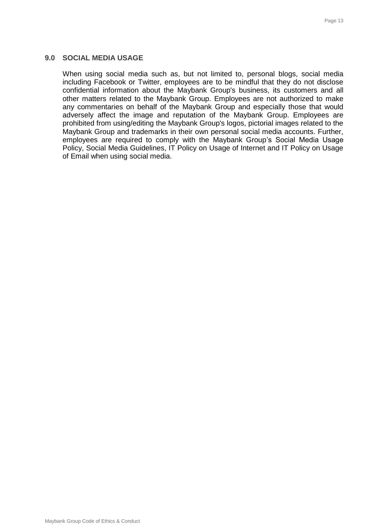## **9.0 SOCIAL MEDIA USAGE**

When using social media such as, but not limited to, personal blogs, social media including Facebook or Twitter, employees are to be mindful that they do not disclose confidential information about the Maybank Group's business, its customers and all other matters related to the Maybank Group. Employees are not authorized to make any commentaries on behalf of the Maybank Group and especially those that would adversely affect the image and reputation of the Maybank Group. Employees are prohibited from using/editing the Maybank Group's logos, pictorial images related to the Maybank Group and trademarks in their own personal social media accounts. Further, employees are required to comply with the Maybank Group's Social Media Usage Policy, Social Media Guidelines, IT Policy on Usage of Internet and IT Policy on Usage of Email when using social media.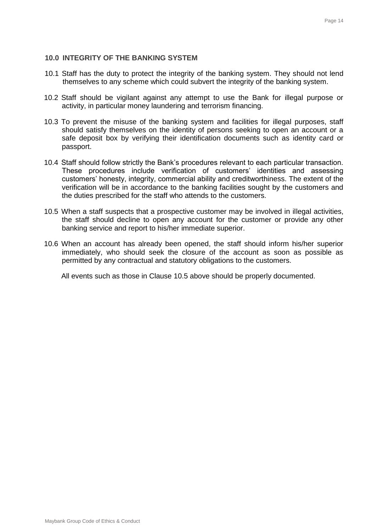# **10.0 INTEGRITY OF THE BANKING SYSTEM**

- 10.1 Staff has the duty to protect the integrity of the banking system. They should not lend themselves to any scheme which could subvert the integrity of the banking system.
- 10.2 Staff should be vigilant against any attempt to use the Bank for illegal purpose or activity, in particular money laundering and terrorism financing.
- 10.3 To prevent the misuse of the banking system and facilities for illegal purposes, staff should satisfy themselves on the identity of persons seeking to open an account or a safe deposit box by verifying their identification documents such as identity card or passport.
- 10.4 Staff should follow strictly the Bank's procedures relevant to each particular transaction. These procedures include verification of customers' identities and assessing customers' honesty, integrity, commercial ability and creditworthiness. The extent of the verification will be in accordance to the banking facilities sought by the customers and the duties prescribed for the staff who attends to the customers.
- 10.5 When a staff suspects that a prospective customer may be involved in illegal activities, the staff should decline to open any account for the customer or provide any other banking service and report to his/her immediate superior.
- 10.6 When an account has already been opened, the staff should inform his/her superior immediately, who should seek the closure of the account as soon as possible as permitted by any contractual and statutory obligations to the customers.

All events such as those in Clause 10.5 above should be properly documented.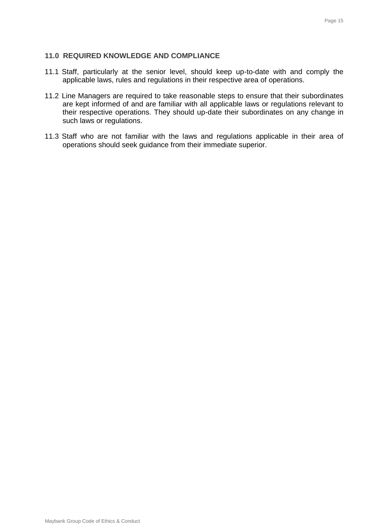# **11.0 REQUIRED KNOWLEDGE AND COMPLIANCE**

- 11.1 Staff, particularly at the senior level, should keep up-to-date with and comply the applicable laws, rules and regulations in their respective area of operations.
- 11.2 Line Managers are required to take reasonable steps to ensure that their subordinates are kept informed of and are familiar with all applicable laws or regulations relevant to their respective operations. They should up-date their subordinates on any change in such laws or regulations.
- 11.3 Staff who are not familiar with the laws and regulations applicable in their area of operations should seek guidance from their immediate superior.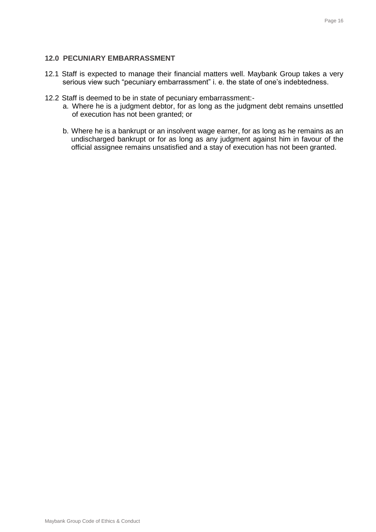# **12.0 PECUNIARY EMBARRASSMENT**

- 12.1 Staff is expected to manage their financial matters well. Maybank Group takes a very serious view such "pecuniary embarrassment" i. e. the state of one's indebtedness.
- 12.2 Staff is deemed to be in state of pecuniary embarrassment:
	- a. Where he is a judgment debtor, for as long as the judgment debt remains unsettled of execution has not been granted; or
	- b. Where he is a bankrupt or an insolvent wage earner, for as long as he remains as an undischarged bankrupt or for as long as any judgment against him in favour of the official assignee remains unsatisfied and a stay of execution has not been granted.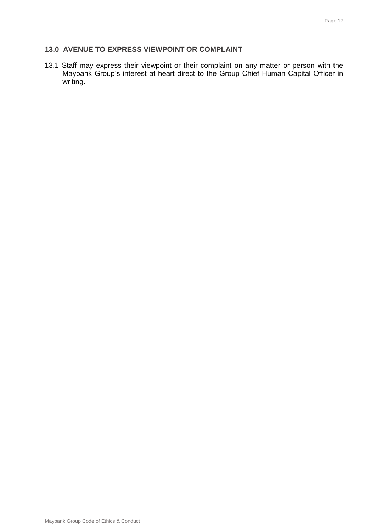# **13.0 AVENUE TO EXPRESS VIEWPOINT OR COMPLAINT**

13.1 Staff may express their viewpoint or their complaint on any matter or person with the Maybank Group's interest at heart direct to the Group Chief Human Capital Officer in writing.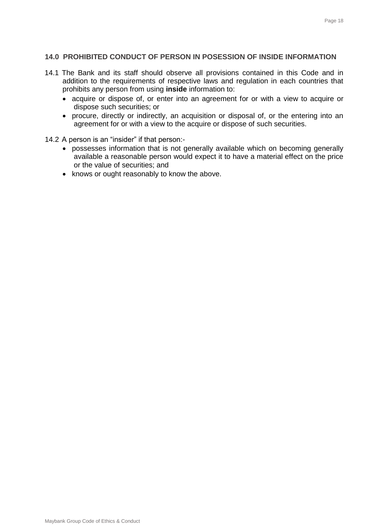# **14.0 PROHIBITED CONDUCT OF PERSON IN POSESSION OF INSIDE INFORMATION**

- 14.1 The Bank and its staff should observe all provisions contained in this Code and in addition to the requirements of respective laws and regulation in each countries that prohibits any person from using **inside** information to:
	- acquire or dispose of, or enter into an agreement for or with a view to acquire or dispose such securities; or
	- procure, directly or indirectly, an acquisition or disposal of, or the entering into an agreement for or with a view to the acquire or dispose of such securities.
- 14.2 A person is an "insider" if that person:
	- possesses information that is not generally available which on becoming generally available a reasonable person would expect it to have a material effect on the price or the value of securities; and
	- knows or ought reasonably to know the above.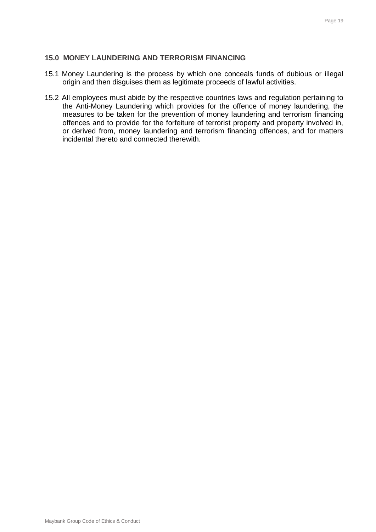# **15.0 MONEY LAUNDERING AND TERRORISM FINANCING**

- 15.1 Money Laundering is the process by which one conceals funds of dubious or illegal origin and then disguises them as legitimate proceeds of lawful activities.
- 15.2 All employees must abide by the respective countries laws and regulation pertaining to the Anti-Money Laundering which provides for the offence of money laundering, the measures to be taken for the prevention of money laundering and terrorism financing offences and to provide for the forfeiture of terrorist property and property involved in, or derived from, money laundering and terrorism financing offences, and for matters incidental thereto and connected therewith.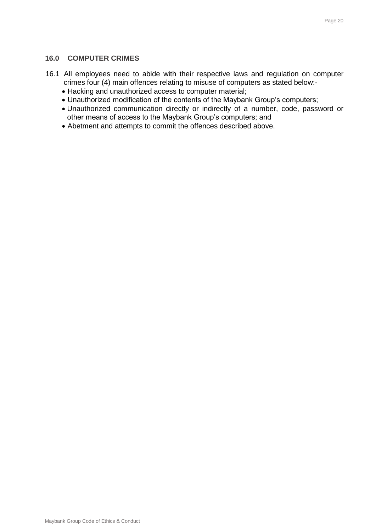## **16.0 COMPUTER CRIMES**

- 16.1 All employees need to abide with their respective laws and regulation on computer crimes four (4) main offences relating to misuse of computers as stated below:-
	- Hacking and unauthorized access to computer material;
	- Unauthorized modification of the contents of the Maybank Group's computers;
	- Unauthorized communication directly or indirectly of a number, code, password or other means of access to the Maybank Group's computers; and
	- Abetment and attempts to commit the offences described above.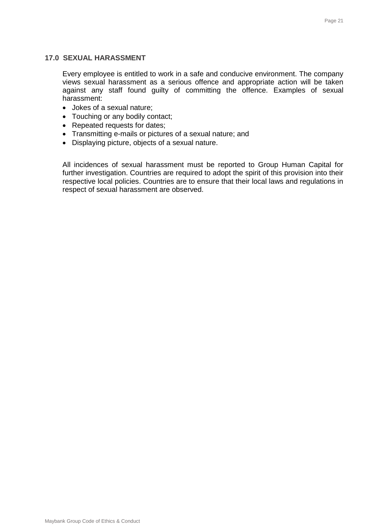#### **17.0 SEXUAL HARASSMENT**

Every employee is entitled to work in a safe and conducive environment. The company views sexual harassment as a serious offence and appropriate action will be taken against any staff found guilty of committing the offence. Examples of sexual harassment:

- Jokes of a sexual nature;
- Touching or any bodily contact;
- Repeated requests for dates;
- Transmitting e-mails or pictures of a sexual nature; and
- Displaying picture, objects of a sexual nature.

All incidences of sexual harassment must be reported to Group Human Capital for further investigation. Countries are required to adopt the spirit of this provision into their respective local policies. Countries are to ensure that their local laws and regulations in respect of sexual harassment are observed.